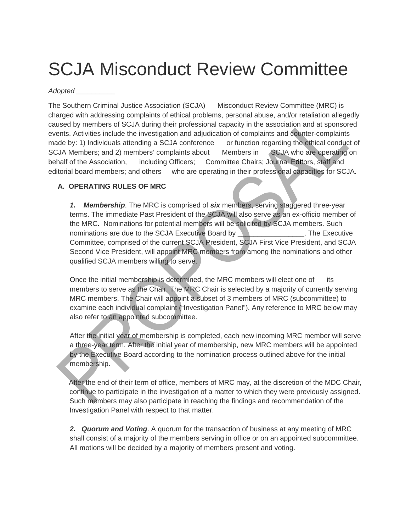## SCJA Misconduct Review Committee

## *Adopted \_\_\_\_\_\_\_\_\_\_*

The Southern Criminal Justice Association (SCJA) Misconduct Review Committee (MRC) is charged with addressing complaints of ethical problems, personal abuse, and/or retaliation allegedly caused by members of SCJA during their professional capacity in the association and at sponsored events. Activities include the investigation and adjudication of complaints and counter-complaints made by: 1) Individuals attending a SCJA conference or function regarding the ethical conduct of SCJA Members; and 2) members' complaints about Members in SCJA who are operating on behalf of the Association, including Officers; Committee Chairs; Journal Editors, staff and editorial board members; and others who are operating in their professional capacities for SCJA.

## **A. OPERATING RULES OF MRC**

*1. Membership*. The MRC is comprised of *six* members, serving staggered three-year terms. The immediate Past President of the SCJA will also serve as an ex-officio member of the MRC. Nominations for potential members will be solicited by SCJA members. Such nominations are due to the SCJA Executive Board by **New Access** 1. The Executive Committee, comprised of the current SCJA President, SCJA First Vice President, and SCJA Second Vice President, will appoint MRC members from among the nominations and other qualified SCJA members willing to serve.

Once the initial membership is determined, the MRC members will elect one of its members to serve as the Chair. The MRC Chair is selected by a majority of currently serving MRC members. The Chair will appoint a subset of 3 members of MRC (subcommittee) to examine each individual complaint ("Investigation Panel"). Any reference to MRC below may also refer to an appointed subcommittee.

After the initial year of membership is completed, each new incoming MRC member will serve a three-year term. After the initial year of membership, new MRC members will be appointed by the Executive Board according to the nomination process outlined above for the initial membership.

After the end of their term of office, members of MRC may, at the discretion of the MDC Chair, continue to participate in the investigation of a matter to which they were previously assigned. Such members may also participate in reaching the findings and recommendation of the Investigation Panel with respect to that matter.

*2. Quorum and Voting*. A quorum for the transaction of business at any meeting of MRC shall consist of a majority of the members serving in office or on an appointed subcommittee. All motions will be decided by a majority of members present and voting.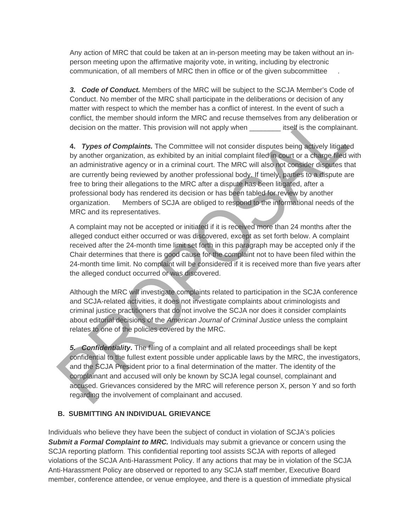Any action of MRC that could be taken at an in-person meeting may be taken without an inperson meeting upon the affirmative majority vote, in writing, including by electronic communication, of all members of MRC then in office or of the given subcommittee .

*3. Code of Conduct.* Members of the MRC will be subject to the SCJA Member's Code of Conduct. No member of the MRC shall participate in the deliberations or decision of any matter with respect to which the member has a conflict of interest. In the event of such a conflict, the member should inform the MRC and recuse themselves from any deliberation or decision on the matter. This provision will not apply when **itself is the complainant.** 

**4.** *Types of Complaints.* The Committee will not consider disputes being actively litigated by another organization, as exhibited by an initial complaint filed in court or a charge filed with an administrative agency or in a criminal court. The MRC will also not consider disputes that are currently being reviewed by another professional body. If timely, parties to a dispute are free to bring their allegations to the MRC after a dispute has been litigated, after a professional body has rendered its decision or has been tabled for review by another organization. Members of SCJA are obliged to respond to the informational needs of the MRC and its representatives.

A complaint may not be accepted or initiated if it is received more than 24 months after the alleged conduct either occurred or was discovered, except as set forth below. A complaint received after the 24-month time limit set forth in this paragraph may be accepted only if the Chair determines that there is good cause for the complaint not to have been filed within the 24-month time limit. No complaint will be considered if it is received more than five years after the alleged conduct occurred or was discovered.

Although the MRC will investigate complaints related to participation in the SCJA conference and SCJA-related activities, it does not investigate complaints about criminologists and criminal justice practitioners that do not involve the SCJA nor does it consider complaints about editorial decisions of the *American Journal of Criminal Justice* unless the complaint relates to one of the policies covered by the MRC.

*5. Confidentiality***.** The filing of a complaint and all related proceedings shall be kept confidential to the fullest extent possible under applicable laws by the MRC, the investigators, and the SCJA President prior to a final determination of the matter. The identity of the complainant and accused will only be known by SCJA legal counsel, complainant and accused. Grievances considered by the MRC will reference person X, person Y and so forth regarding the involvement of complainant and accused.

## **B. SUBMITTING AN INDIVIDUAL GRIEVANCE**

Individuals who believe they have been the subject of conduct in violation of SCJA's policies **Submit a Formal Complaint to MRC.** Individuals may submit a grievance or concern using the SCJA reporting platfor[m. T](https://secure.ethicspoint.com/domain/media/en/gui/61473/index.html)his confidential reporting tool assists SCJA with reports of alleged violations of the SCJA Anti-Harassment Policy. If any actions that may be in violation of the SCJA Anti-Harassment Policy are observed or reported to any SCJA staff member, Executive Board member, conference attendee, or venue employee, and there is a question of immediate physical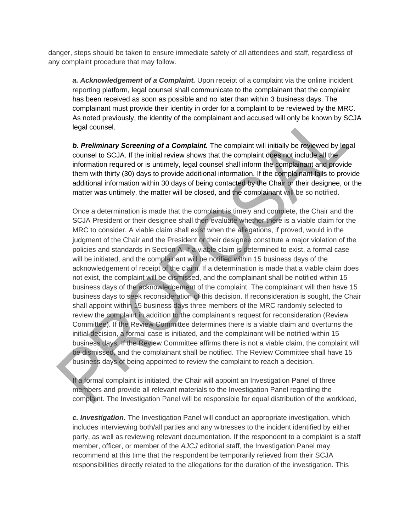danger, steps should be taken to ensure immediate safety of all attendees and staff, regardless of any complaint procedure that may follow.

**a. Acknowledgement of a Complaint.** Upon receipt of a complaint via the online incident reporting platform, legal counsel shall communicate to the complainant that the complaint has been received as soon as possible and no later than within 3 business days. The complainant must provide their identity in order for a complaint to be reviewed by the MRC. As noted previously, the identity of the complainant and accused will only be known by SCJA legal counsel.

*b. Preliminary Screening of a Complaint.* The complaint will initially be reviewed by legal counsel to SCJA. If the initial review shows that the complaint does not include all the information required or is untimely, legal counsel shall inform the complainant and provide them with thirty (30) days to provide additional information. If the complainant fails to provide additional information within 30 days of being contacted by the Chair or their designee, or the matter was untimely, the matter will be closed, and the complainant will be so notified.

Once a determination is made that the complaint is timely and complete, the Chair and the SCJA President or their designee shall then evaluate whether there is a viable claim for the MRC to consider. A viable claim shall exist when the allegations, if proved, would in the judgment of the Chair and the President or their designee constitute a major violation of the policies and standards in Section A. If a viable claim is determined to exist, a formal case will be initiated, and the complainant will be notified within 15 business days of the acknowledgement of receipt of the claim. If a determination is made that a viable claim does not exist, the complaint will be dismissed, and the complainant shall be notified within 15 business days of the acknowledgement of the complaint. The complainant will then have 15 business days to seek reconsideration of this decision. If reconsideration is sought, the Chair shall appoint within 15 business days three members of the MRC randomly selected to review the complaint in addition to the complainant's request for reconsideration (Review Committee). If the Review Committee determines there is a viable claim and overturns the initial decision, a formal case is initiated, and the complainant will be notified within 15 business days. If the Review Committee affirms there is not a viable claim, the complaint will be dismissed, and the complainant shall be notified. The Review Committee shall have 15 business days of being appointed to review the complaint to reach a decision.

If a formal complaint is initiated, the Chair will appoint an Investigation Panel of three members and provide all relevant materials to the Investigation Panel regarding the complaint. The Investigation Panel will be responsible for equal distribution of the workload,

*c. Investigation.* The Investigation Panel will conduct an appropriate investigation, which includes interviewing both/all parties and any witnesses to the incident identified by either party, as well as reviewing relevant documentation. If the respondent to a complaint is a staff member, officer, or member of the *AJCJ* editorial staff, the Investigation Panel may recommend at this time that the respondent be temporarily relieved from their SCJA responsibilities directly related to the allegations for the duration of the investigation. This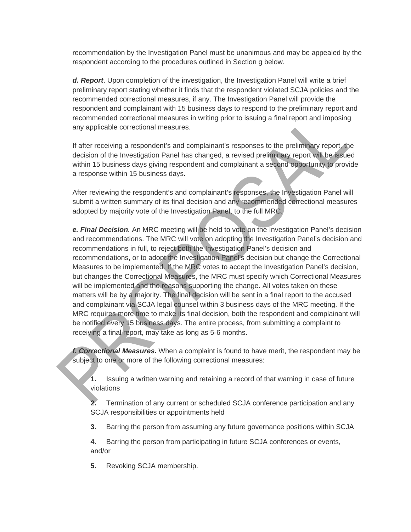recommendation by the Investigation Panel must be unanimous and may be appealed by the respondent according to the procedures outlined in Section g below.

*d. Report*. Upon completion of the investigation, the Investigation Panel will write a brief preliminary report stating whether it finds that the respondent violated SCJA policies and the recommended correctional measures, if any. The Investigation Panel will provide the respondent and complainant with 15 business days to respond to the preliminary report and recommended correctional measures in writing prior to issuing a final report and imposing any applicable correctional measures.

If after receiving a respondent's and complainant's responses to the preliminary report, the decision of the Investigation Panel has changed, a revised preliminary report will be issued within 15 business days giving respondent and complainant a second opportunity to provide a response within 15 business days.

After reviewing the respondent's and complainant's responses, the Investigation Panel will submit a written summary of its final decision and any recommended correctional measures adopted by majority vote of the Investigation Panel, to the full MRC.

*e. Final Decision.* An MRC meeting will be held to vote on the Investigation Panel's decision and recommendations. The MRC will vote on adopting the Investigation Panel's decision and recommendations in full, to reject both the Investigation Panel's decision and recommendations, or to adopt the Investigation Panel's decision but change the Correctional Measures to be implemented. If the MRC votes to accept the Investigation Panel's decision, but changes the Correctional Measures, the MRC must specify which Correctional Measures will be implemented and the reasons supporting the change. All votes taken on these matters will be by a majority. The final decision will be sent in a final report to the accused and complainant via SCJA legal counsel within 3 business days of the MRC meeting. If the MRC requires more time to make its final decision, both the respondent and complainant will be notified every 15 business days. The entire process, from submitting a complaint to receiving a final report, may take as long as 5-6 months.

*f***.** *Correctional Measures.* When a complaint is found to have merit, the respondent may be subject to one or more of the following correctional measures:

**1.** Issuing a written warning and retaining a record of that warning in case of future violations

**2.** Termination of any current or scheduled SCJA conference participation and any SCJA responsibilities or appointments held

**3.** Barring the person from assuming any future governance positions within SCJA

**4.** Barring the person from participating in future SCJA conferences or events, and/or

**5.** Revoking SCJA membership.